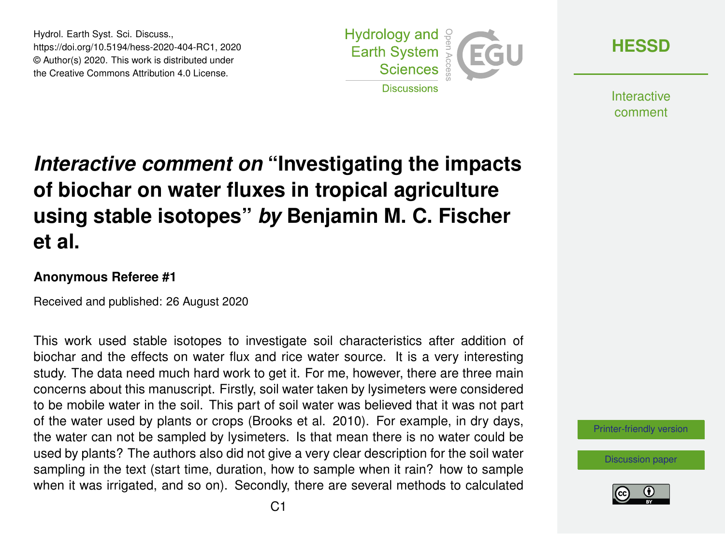Hydrol. Earth Syst. Sci. Discuss., https://doi.org/10.5194/hess-2020-404-RC1, 2020 © Author(s) 2020. This work is distributed under the Creative Commons Attribution 4.0 License.



**[HESSD](https://hess.copernicus.org/preprints/)**

**Interactive** comment

## *Interactive comment on* **"Investigating the impacts of biochar on water fluxes in tropical agriculture using stable isotopes"** *by* **Benjamin M. C. Fischer et al.**

## **Anonymous Referee #1**

Received and published: 26 August 2020

This work used stable isotopes to investigate soil characteristics after addition of biochar and the effects on water flux and rice water source. It is a very interesting study. The data need much hard work to get it. For me, however, there are three main concerns about this manuscript. Firstly, soil water taken by lysimeters were considered to be mobile water in the soil. This part of soil water was believed that it was not part of the water used by plants or crops (Brooks et al. 2010). For example, in dry days, the water can not be sampled by lysimeters. Is that mean there is no water could be used by plants? The authors also did not give a very clear description for the soil water sampling in the text (start time, duration, how to sample when it rain? how to sample when it was irrigated, and so on). Secondly, there are several methods to calculated

[Printer-friendly version](https://hess.copernicus.org/preprints/hess-2020-404/hess-2020-404-RC1-print.pdf)

[Discussion paper](https://hess.copernicus.org/preprints/hess-2020-404)